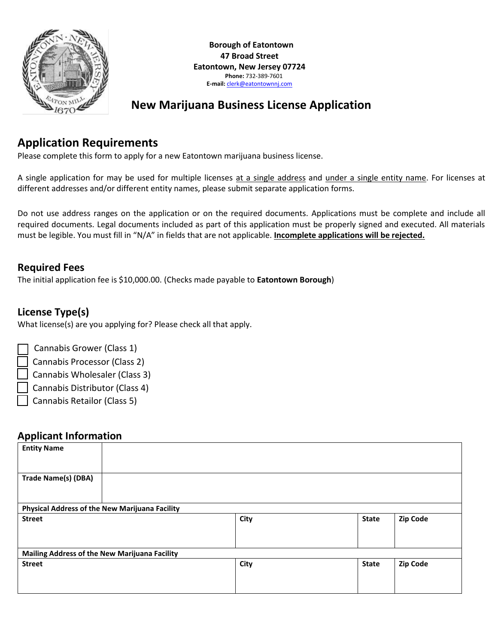

# **New Marijuana Business License Application**

## **Application Requirements**

Please complete this form to apply for a new Eatontown marijuana business license.

A single application for may be used for multiple licenses at a single address and under a single entity name. For licenses at different addresses and/or different entity names, please submit separate application forms.

Do not use address ranges on the application or on the required documents. Applications must be complete and include all required documents. Legal documents included as part of this application must be properly signed and executed. All materials must be legible. You must fill in "N/A" in fields that are not applicable. **Incomplete applications will be rejected.**

#### **Required Fees**

The initial application fee is \$10,000.00. (Checks made payable to **Eatontown Borough**)

## **License Type(s)**

What license(s) are you applying for? Please check all that apply.

Cannabis Grower (Class 1)

- ☐ Cannabis Processor (Class 2)
- Cannabis Wholesaler (Class 3)
- ☐ Cannabis Distributor (Class 4)
- Cannabis Retailor (Class 5)

#### **Applicant Information**

| <b>Entity Name</b>                             |  |      |              |                 |
|------------------------------------------------|--|------|--------------|-----------------|
| <b>Trade Name(s) (DBA)</b>                     |  |      |              |                 |
| Physical Address of the New Marijuana Facility |  |      |              |                 |
| <b>Street</b>                                  |  | City | <b>State</b> | <b>Zip Code</b> |
| Mailing Address of the New Marijuana Facility  |  |      |              |                 |
| <b>Street</b>                                  |  | City | <b>State</b> | Zip Code        |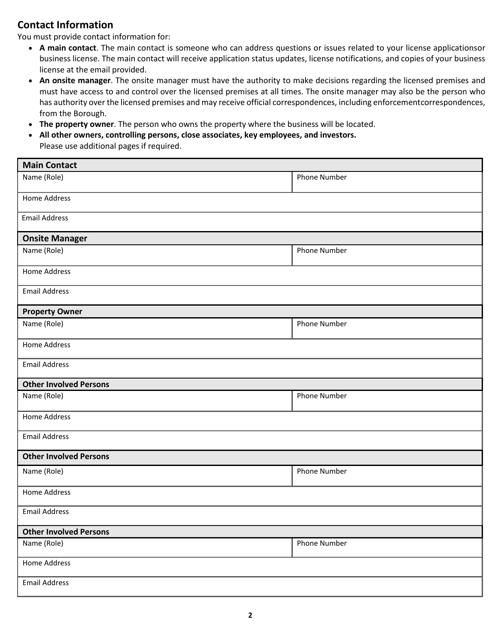#### **Contact Information**

You must provide contact information for:

- **A main contact**. The main contact is someone who can address questions or issues related to your license applicationsor business license. The main contact will receive application status updates, license notifications, and copies of your business license at the email provided.
- **An onsite manager**. The onsite manager must have the authority to make decisions regarding the licensed premises and must have access to and control over the licensed premises at all times. The onsite manager may also be the person who has authority over the licensed premises and may receive official correspondences, including enforcementcorrespondences, from the Borough.
- **The property owner**. The person who owns the property where the business will be located.
- **All other owners, controlling persons, close associates, key employees, and investors.** Please use additional pages if required.

| <b>Main Contact</b>           |                     |  |  |  |
|-------------------------------|---------------------|--|--|--|
| Name (Role)                   | <b>Phone Number</b> |  |  |  |
| <b>Home Address</b>           |                     |  |  |  |
| <b>Email Address</b>          |                     |  |  |  |
| <b>Onsite Manager</b>         |                     |  |  |  |
| Name (Role)                   | Phone Number        |  |  |  |
| <b>Home Address</b>           |                     |  |  |  |
| <b>Email Address</b>          |                     |  |  |  |
| <b>Property Owner</b>         |                     |  |  |  |
| Name (Role)                   | Phone Number        |  |  |  |
| <b>Home Address</b>           |                     |  |  |  |
| <b>Email Address</b>          |                     |  |  |  |
|                               |                     |  |  |  |
| <b>Other Involved Persons</b> |                     |  |  |  |
| Name (Role)                   | <b>Phone Number</b> |  |  |  |
| <b>Home Address</b>           |                     |  |  |  |
| <b>Email Address</b>          |                     |  |  |  |
| <b>Other Involved Persons</b> |                     |  |  |  |
| Name (Role)                   | Phone Number        |  |  |  |
| <b>Home Address</b>           |                     |  |  |  |
| <b>Email Address</b>          |                     |  |  |  |
| <b>Other Involved Persons</b> |                     |  |  |  |
| Name (Role)                   | Phone Number        |  |  |  |
| Home Address                  |                     |  |  |  |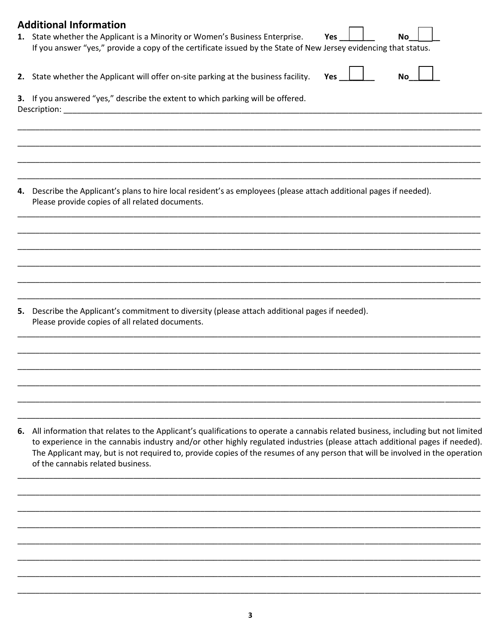|    | <b>Additional Information</b><br>1. State whether the Applicant is a Minority or Women's Business Enterprise.<br>Yes<br>No.<br>If you answer "yes," provide a copy of the certificate issued by the State of New Jersey evidencing that status.                                                                                                                                                                                       |
|----|---------------------------------------------------------------------------------------------------------------------------------------------------------------------------------------------------------------------------------------------------------------------------------------------------------------------------------------------------------------------------------------------------------------------------------------|
|    | 2. State whether the Applicant will offer on-site parking at the business facility.<br>Yes<br>No                                                                                                                                                                                                                                                                                                                                      |
|    | 3. If you answered "yes," describe the extent to which parking will be offered.<br>Description:                                                                                                                                                                                                                                                                                                                                       |
| 4. | Describe the Applicant's plans to hire local resident's as employees (please attach additional pages if needed).<br>Please provide copies of all related documents.                                                                                                                                                                                                                                                                   |
|    |                                                                                                                                                                                                                                                                                                                                                                                                                                       |
|    | 5. Describe the Applicant's commitment to diversity (please attach additional pages if needed).<br>Please provide copies of all related documents.                                                                                                                                                                                                                                                                                    |
| 6. | All information that relates to the Applicant's qualifications to operate a cannabis related business, including but not limited<br>to experience in the cannabis industry and/or other highly regulated industries (please attach additional pages if needed).<br>The Applicant may, but is not required to, provide copies of the resumes of any person that will be involved in the operation<br>of the cannabis related business. |
|    |                                                                                                                                                                                                                                                                                                                                                                                                                                       |

 $\overline{\mathbf{3}}$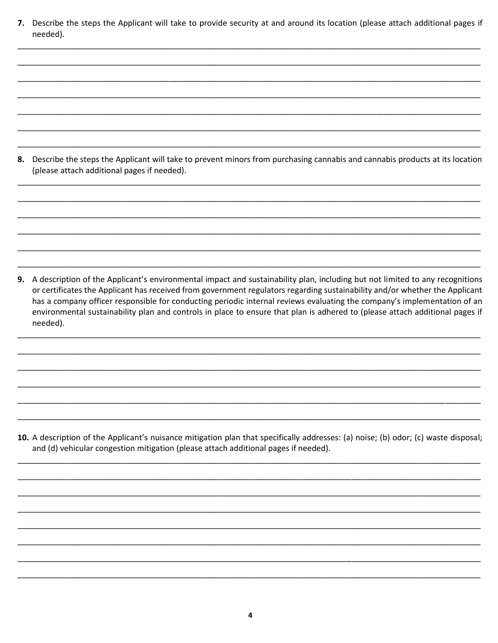7. Describe the steps the Applicant will take to provide security at and around its location (please attach additional pages if needed).

8. Describe the steps the Applicant will take to prevent minors from purchasing cannabis and cannabis products at its location (please attach additional pages if needed).

9. A description of the Applicant's environmental impact and sustainability plan, including but not limited to any recognitions or certificates the Applicant has received from government regulators regarding sustainability and/or whether the Applicant has a company officer responsible for conducting periodic internal reviews evaluating the company's implementation of an environmental sustainability plan and controls in place to ensure that plan is adhered to (please attach additional pages if needed).

10. A description of the Applicant's nuisance mitigation plan that specifically addresses: (a) noise; (b) odor; (c) waste disposal; and (d) vehicular congestion mitigation (please attach additional pages if needed).